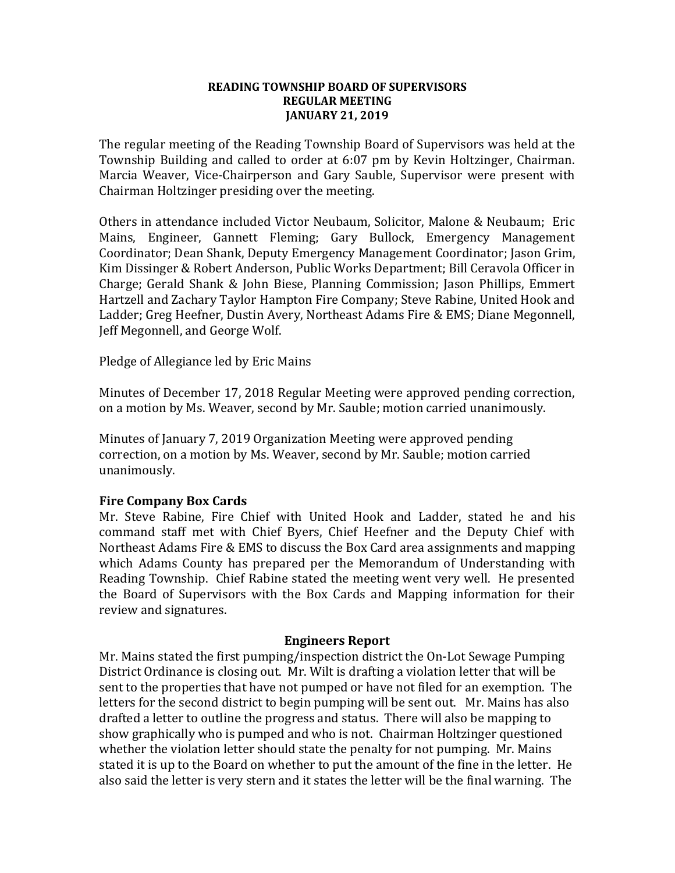#### **READING TOWNSHIP BOARD OF SUPERVISORS REGULAR MEETING JANUARY 21, 2019**

The regular meeting of the Reading Township Board of Supervisors was held at the Township Building and called to order at 6:07 pm by Kevin Holtzinger, Chairman. Marcia Weaver, Vice-Chairperson and Gary Sauble, Supervisor were present with Chairman Holtzinger presiding over the meeting.

Others in attendance included Victor Neubaum, Solicitor, Malone & Neubaum; Eric Mains, Engineer, Gannett Fleming; Gary Bullock, Emergency Management Coordinator; Dean Shank, Deputy Emergency Management Coordinator; Jason Grim, Kim Dissinger & Robert Anderson, Public Works Department; Bill Ceravola Officer in Charge; Gerald Shank & John Biese, Planning Commission; Jason Phillips, Emmert Hartzell and Zachary Taylor Hampton Fire Company; Steve Rabine, United Hook and Ladder; Greg Heefner, Dustin Avery, Northeast Adams Fire & EMS; Diane Megonnell, Jeff Megonnell, and George Wolf.

Pledge of Allegiance led by Eric Mains

Minutes of December 17, 2018 Regular Meeting were approved pending correction, on a motion by Ms. Weaver, second by Mr. Sauble; motion carried unanimously.

Minutes of January 7, 2019 Organization Meeting were approved pending correction, on a motion by Ms. Weaver, second by Mr. Sauble; motion carried unanimously.

#### **Fire Company Box Cards**

Mr. Steve Rabine, Fire Chief with United Hook and Ladder, stated he and his command staff met with Chief Byers, Chief Heefner and the Deputy Chief with Northeast Adams Fire & EMS to discuss the Box Card area assignments and mapping which Adams County has prepared per the Memorandum of Understanding with Reading Township. Chief Rabine stated the meeting went very well. He presented the Board of Supervisors with the Box Cards and Mapping information for their review and signatures.

#### **Engineers Report**

Mr. Mains stated the first pumping/inspection district the On-Lot Sewage Pumping District Ordinance is closing out. Mr. Wilt is drafting a violation letter that will be sent to the properties that have not pumped or have not filed for an exemption. The letters for the second district to begin pumping will be sent out. Mr. Mains has also drafted a letter to outline the progress and status. There will also be mapping to show graphically who is pumped and who is not. Chairman Holtzinger questioned whether the violation letter should state the penalty for not pumping. Mr. Mains stated it is up to the Board on whether to put the amount of the fine in the letter. He also said the letter is very stern and it states the letter will be the final warning. The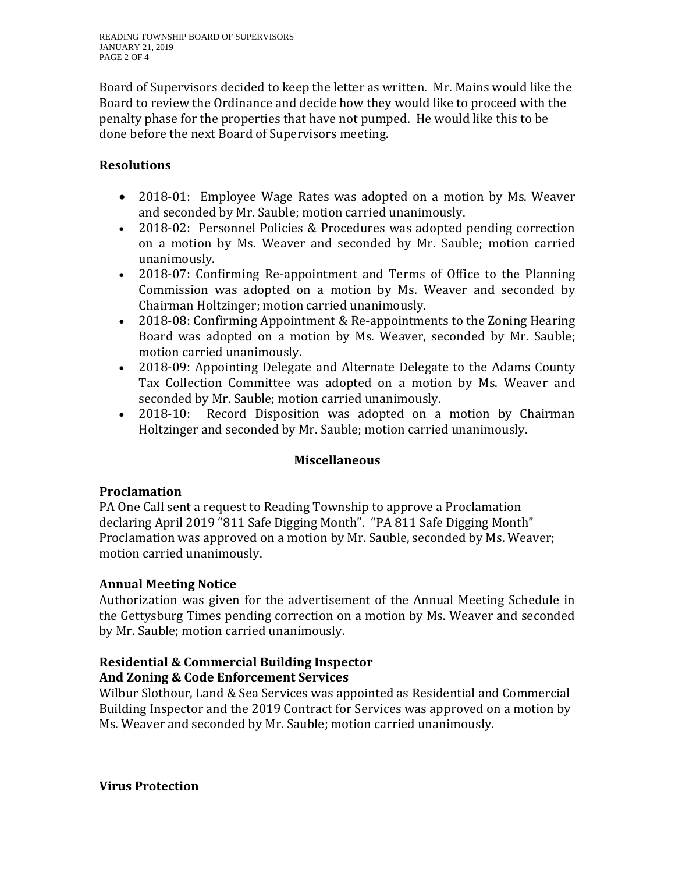Board of Supervisors decided to keep the letter as written. Mr. Mains would like the Board to review the Ordinance and decide how they would like to proceed with the penalty phase for the properties that have not pumped. He would like this to be done before the next Board of Supervisors meeting.

# **Resolutions**

- 2018-01: Employee Wage Rates was adopted on a motion by Ms. Weaver and seconded by Mr. Sauble; motion carried unanimously.
- 2018-02: Personnel Policies & Procedures was adopted pending correction on a motion by Ms. Weaver and seconded by Mr. Sauble; motion carried unanimously.
- 2018-07: Confirming Re-appointment and Terms of Office to the Planning Commission was adopted on a motion by Ms. Weaver and seconded by Chairman Holtzinger; motion carried unanimously.
- 2018-08: Confirming Appointment & Re-appointments to the Zoning Hearing Board was adopted on a motion by Ms. Weaver, seconded by Mr. Sauble; motion carried unanimously.
- 2018-09: Appointing Delegate and Alternate Delegate to the Adams County Tax Collection Committee was adopted on a motion by Ms. Weaver and seconded by Mr. Sauble; motion carried unanimously.
- 2018-10: Record Disposition was adopted on a motion by Chairman Holtzinger and seconded by Mr. Sauble; motion carried unanimously.

## **Miscellaneous**

## **Proclamation**

PA One Call sent a request to Reading Township to approve a Proclamation declaring April 2019 "811 Safe Digging Month". "PA 811 Safe Digging Month" Proclamation was approved on a motion by Mr. Sauble, seconded by Ms. Weaver; motion carried unanimously.

## **Annual Meeting Notice**

Authorization was given for the advertisement of the Annual Meeting Schedule in the Gettysburg Times pending correction on a motion by Ms. Weaver and seconded by Mr. Sauble; motion carried unanimously.

# **Residential & Commercial Building Inspector**

# **And Zoning & Code Enforcement Services**

Wilbur Slothour, Land & Sea Services was appointed as Residential and Commercial Building Inspector and the 2019 Contract for Services was approved on a motion by Ms. Weaver and seconded by Mr. Sauble; motion carried unanimously.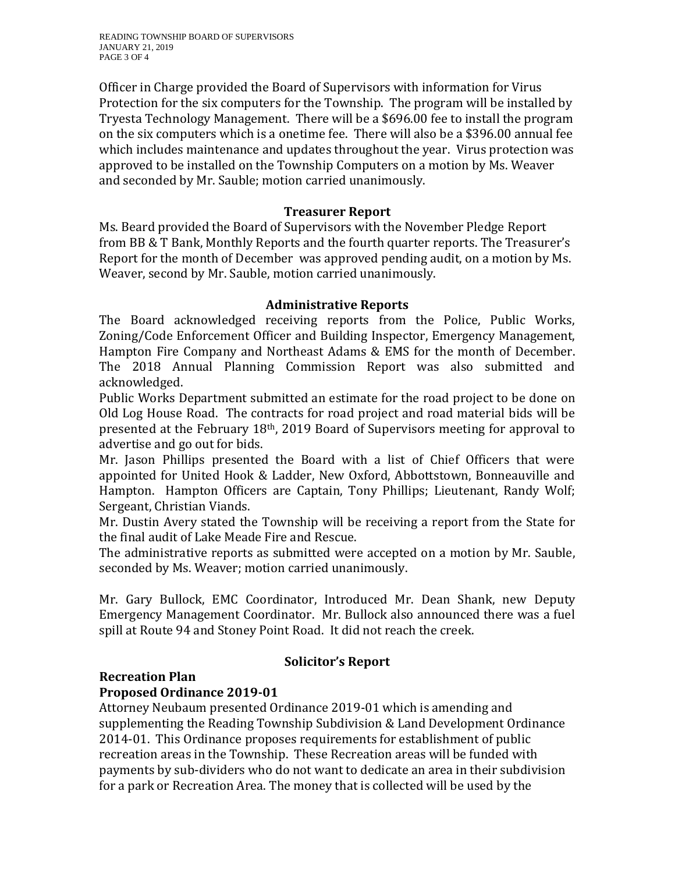Officer in Charge provided the Board of Supervisors with information for Virus Protection for the six computers for the Township. The program will be installed by Tryesta Technology Management. There will be a \$696.00 fee to install the program on the six computers which is a onetime fee. There will also be a \$396.00 annual fee which includes maintenance and updates throughout the year. Virus protection was approved to be installed on the Township Computers on a motion by Ms. Weaver and seconded by Mr. Sauble; motion carried unanimously.

### **Treasurer Report**

Ms. Beard provided the Board of Supervisors with the November Pledge Report from BB & T Bank, Monthly Reports and the fourth quarter reports. The Treasurer's Report for the month of December was approved pending audit, on a motion by Ms. Weaver, second by Mr. Sauble, motion carried unanimously.

### **Administrative Reports**

The Board acknowledged receiving reports from the Police, Public Works, Zoning/Code Enforcement Officer and Building Inspector, Emergency Management, Hampton Fire Company and Northeast Adams & EMS for the month of December. The 2018 Annual Planning Commission Report was also submitted and acknowledged.

Public Works Department submitted an estimate for the road project to be done on Old Log House Road. The contracts for road project and road material bids will be presented at the February 18th, 2019 Board of Supervisors meeting for approval to advertise and go out for bids.

Mr. Jason Phillips presented the Board with a list of Chief Officers that were appointed for United Hook & Ladder, New Oxford, Abbottstown, Bonneauville and Hampton. Hampton Officers are Captain, Tony Phillips; Lieutenant, Randy Wolf; Sergeant, Christian Viands.

Mr. Dustin Avery stated the Township will be receiving a report from the State for the final audit of Lake Meade Fire and Rescue.

The administrative reports as submitted were accepted on a motion by Mr. Sauble, seconded by Ms. Weaver; motion carried unanimously.

Mr. Gary Bullock, EMC Coordinator, Introduced Mr. Dean Shank, new Deputy Emergency Management Coordinator. Mr. Bullock also announced there was a fuel spill at Route 94 and Stoney Point Road. It did not reach the creek.

## **Recreation Plan**

# **Solicitor's Report**

# **Proposed Ordinance 2019-01**

Attorney Neubaum presented Ordinance 2019-01 which is amending and supplementing the Reading Township Subdivision & Land Development Ordinance 2014-01. This Ordinance proposes requirements for establishment of public recreation areas in the Township. These Recreation areas will be funded with payments by sub-dividers who do not want to dedicate an area in their subdivision for a park or Recreation Area. The money that is collected will be used by the